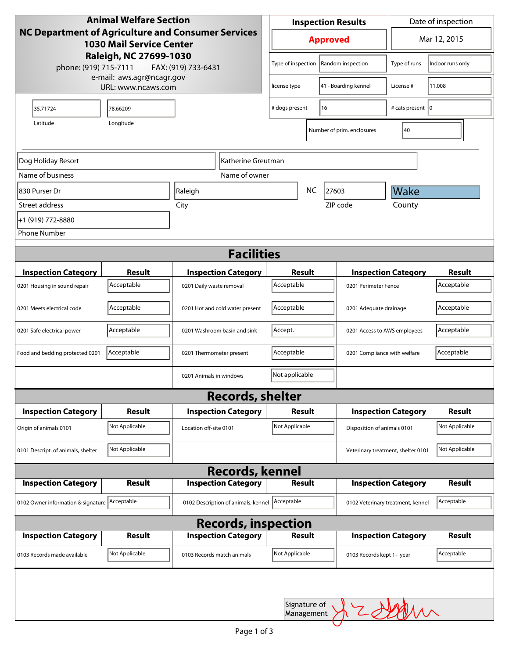| <b>Animal Welfare Section</b><br>NC Department of Agriculture and Consumer Services<br><b>1030 Mail Service Center</b> |                             |                                     |                         | <b>Inspection Results</b>   |               |                                    | Date of inspection                                 |                  |
|------------------------------------------------------------------------------------------------------------------------|-----------------------------|-------------------------------------|-------------------------|-----------------------------|---------------|------------------------------------|----------------------------------------------------|------------------|
|                                                                                                                        |                             |                                     |                         | <b>Approved</b>             |               |                                    | Mar 12, 2015                                       |                  |
| Raleigh, NC 27699-1030<br>phone: (919) 715-7111<br>FAX: (919) 733-6431                                                 |                             |                                     |                         | Type of inspection          |               | Random inspection                  | Type of runs                                       | Indoor runs only |
| e-mail: aws.agr@ncagr.gov<br>URL: www.ncaws.com                                                                        |                             |                                     |                         | license type                |               | 41 - Boarding kennel               | License #                                          | 11,008           |
| 35.71724                                                                                                               | 78.66209                    |                                     |                         | 16<br># dogs present        |               |                                    | # cats present   0                                 |                  |
| Latitude                                                                                                               | Longitude                   |                                     |                         |                             |               | Number of prim. enclosures         | 40                                                 |                  |
| Dog Holiday Resort<br>lKatherine Greutman                                                                              |                             |                                     |                         |                             |               |                                    |                                                    |                  |
| Name of business                                                                                                       |                             |                                     | Name of owner           |                             |               |                                    |                                                    |                  |
| 830 Purser Dr                                                                                                          | Raleigh                     |                                     |                         |                             | <b>NC</b>     | 27603                              | <b>Wake</b>                                        |                  |
| Street address                                                                                                         | City                        |                                     |                         | ZIP code                    |               |                                    | County                                             |                  |
| +1 (919) 772-8880                                                                                                      |                             |                                     |                         |                             |               |                                    |                                                    |                  |
| <b>Phone Number</b>                                                                                                    |                             |                                     |                         |                             |               |                                    |                                                    |                  |
| <b>Facilities</b>                                                                                                      |                             |                                     |                         |                             |               |                                    |                                                    |                  |
|                                                                                                                        |                             |                                     |                         |                             |               |                                    |                                                    | <b>Result</b>    |
| <b>Inspection Category</b>                                                                                             | <b>Result</b><br>Acceptable | <b>Inspection Category</b>          |                         | <b>Result</b><br>Acceptable |               |                                    | <b>Inspection Category</b><br>0201 Perimeter Fence |                  |
| 0201 Housing in sound repair                                                                                           |                             | 0201 Daily waste removal            |                         |                             |               |                                    |                                                    |                  |
| 0201 Meets electrical code                                                                                             | Acceptable                  | 0201 Hot and cold water present     |                         | Acceptable                  |               |                                    | 0201 Adequate drainage                             |                  |
| 0201 Safe electrical power                                                                                             | Acceptable                  | 0201 Washroom basin and sink        |                         | Accept.                     |               |                                    | 0201 Access to AWS employees                       |                  |
| Food and bedding protected 0201                                                                                        | Acceptable                  | 0201 Thermometer present            |                         | Acceptable                  |               |                                    | 0201 Compliance with welfare                       |                  |
|                                                                                                                        |                             | 0201 Animals in windows             |                         | Not applicable              |               |                                    |                                                    |                  |
|                                                                                                                        |                             |                                     | <b>Records, shelter</b> |                             |               |                                    |                                                    |                  |
| <b>Inspection Category</b>                                                                                             | <b>Result</b>               | <b>Inspection Category</b>          |                         | Result                      |               |                                    | <b>Inspection Category</b>                         |                  |
| Origin of animals 0101                                                                                                 | Not Applicable              | Location off-site 0101              |                         | Not Applicable              |               |                                    | Disposition of animals 0101                        |                  |
| 0101 Descript. of animals, shelter                                                                                     | Not Applicable              |                                     |                         |                             |               | Veterinary treatment, shelter 0101 |                                                    |                  |
| <b>Records, kennel</b>                                                                                                 |                             |                                     |                         |                             |               |                                    |                                                    |                  |
| <b>Inspection Category</b>                                                                                             | <b>Result</b>               | <b>Inspection Category</b>          |                         |                             | <b>Result</b> |                                    | <b>Inspection Category</b>                         | <b>Result</b>    |
| 0102 Owner information & signature Acceptable                                                                          |                             | 0102 Description of animals, kennel |                         | Acceptable                  |               |                                    | 0102 Veterinary treatment, kennel                  | Acceptable       |
| <b>Records, inspection</b>                                                                                             |                             |                                     |                         |                             |               |                                    |                                                    |                  |
| <b>Inspection Category</b>                                                                                             | <b>Result</b>               | <b>Inspection Category</b>          |                         |                             | <b>Result</b> |                                    | <b>Inspection Category</b>                         | <b>Result</b>    |
| 0103 Records made available                                                                                            | Not Applicable              | 0103 Records match animals          |                         | Not Applicable              |               | 0103 Records kept 1+ year          |                                                    | Acceptable       |
|                                                                                                                        |                             |                                     |                         |                             |               |                                    |                                                    |                  |
|                                                                                                                        |                             |                                     |                         | Signature of<br>Management  |               |                                    | MM                                                 |                  |
|                                                                                                                        |                             |                                     |                         |                             |               |                                    |                                                    |                  |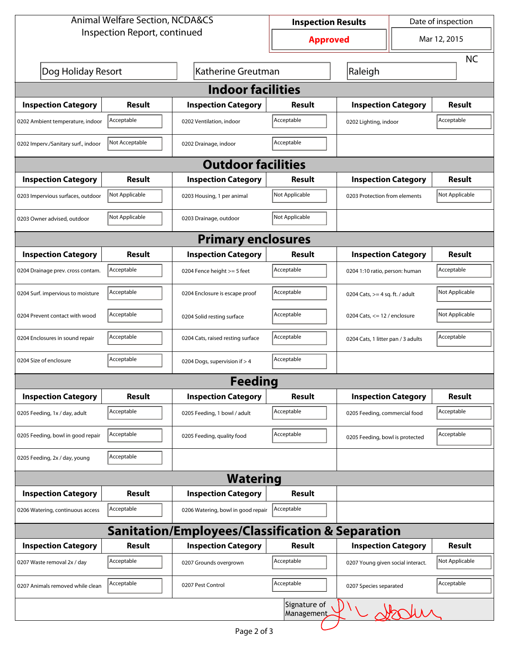| <b>Animal Welfare Section, NCDA&amp;CS</b>       |                |                                    | <b>Inspection Results</b>         |                                    | Date of inspection |                |  |  |  |
|--------------------------------------------------|----------------|------------------------------------|-----------------------------------|------------------------------------|--------------------|----------------|--|--|--|
| Inspection Report, continued                     |                |                                    | <b>Approved</b>                   |                                    | Mar 12, 2015       |                |  |  |  |
|                                                  |                |                                    |                                   |                                    |                    | <b>NC</b>      |  |  |  |
| Dog Holiday Resort<br>Katherine Greutman         |                |                                    |                                   | Raleigh                            |                    |                |  |  |  |
| <b>Indoor facilities</b>                         |                |                                    |                                   |                                    |                    |                |  |  |  |
| <b>Inspection Category</b>                       | <b>Result</b>  | <b>Inspection Category</b>         | Result                            | <b>Inspection Category</b>         |                    | <b>Result</b>  |  |  |  |
| 0202 Ambient temperature, indoor                 | Acceptable     | 0202 Ventilation, indoor           | Acceptable                        | 0202 Lighting, indoor              |                    | Acceptable     |  |  |  |
| 0202 Imperv./Sanitary surf., indoor              | Not Acceptable | 0202 Drainage, indoor              | Acceptable                        |                                    |                    |                |  |  |  |
| <b>Outdoor facilities</b>                        |                |                                    |                                   |                                    |                    |                |  |  |  |
| <b>Inspection Category</b>                       | <b>Result</b>  | <b>Inspection Category</b>         | Result                            | <b>Inspection Category</b>         |                    | <b>Result</b>  |  |  |  |
| 0203 Impervious surfaces, outdoor                | Not Applicable | 0203 Housing, 1 per animal         | Not Applicable                    | 0203 Protection from elements      |                    | Not Applicable |  |  |  |
| 0203 Owner advised, outdoor                      | Not Applicable | 0203 Drainage, outdoor             | Not Applicable                    |                                    |                    |                |  |  |  |
| <b>Primary enclosures</b>                        |                |                                    |                                   |                                    |                    |                |  |  |  |
| <b>Inspection Category</b>                       | <b>Result</b>  | <b>Inspection Category</b>         | Result                            | <b>Inspection Category</b>         |                    | <b>Result</b>  |  |  |  |
| 0204 Drainage prev. cross contam.                | Acceptable     | 0204 Fence height >= 5 feet        | Acceptable                        | 0204 1:10 ratio, person: human     |                    | Acceptable     |  |  |  |
| 0204 Surf. impervious to moisture                | Acceptable     | 0204 Enclosure is escape proof     | Acceptable                        | 0204 Cats, $>=$ 4 sq. ft. / adult  |                    | Not Applicable |  |  |  |
| 0204 Prevent contact with wood                   | Acceptable     | 0204 Solid resting surface         | Acceptable                        | 0204 Cats, $<= 12$ / enclosure     |                    | Not Applicable |  |  |  |
| 0204 Enclosures in sound repair                  | Acceptable     | 0204 Cats, raised resting surface  | Acceptable                        | 0204 Cats, 1 litter pan / 3 adults |                    | Acceptable     |  |  |  |
| 0204 Size of enclosure                           | Acceptable     | 0204 Dogs, supervision if > 4      | Acceptable                        |                                    |                    |                |  |  |  |
|                                                  |                | <b>Feeding</b>                     |                                   |                                    |                    |                |  |  |  |
| <b>Inspection Category</b>                       | <b>Result</b>  | <b>Inspection Category</b>         | Result                            | <b>Inspection Category</b>         |                    | Result         |  |  |  |
| 0205 Feeding, 1x / day, adult                    | Acceptable     | 0205 Feeding, 1 bowl / adult       | Acceptable                        | 0205 Feeding, commercial food      |                    | Acceptable     |  |  |  |
| 0205 Feeding, bowl in good repair                | Acceptable     | 0205 Feeding, quality food         | Acceptable                        | 0205 Feeding, bowl is protected    |                    | Acceptable     |  |  |  |
| 0205 Feeding, 2x / day, young                    | Acceptable     |                                    |                                   |                                    |                    |                |  |  |  |
|                                                  |                | <b>Watering</b>                    |                                   |                                    |                    |                |  |  |  |
| <b>Inspection Category</b>                       | <b>Result</b>  | <b>Inspection Category</b>         | Result                            |                                    |                    |                |  |  |  |
| 0206 Watering, continuous access                 | Acceptable     | 0206 Watering, bowl in good repair | Acceptable                        |                                    |                    |                |  |  |  |
| Sanitation/Employees/Classification & Separation |                |                                    |                                   |                                    |                    |                |  |  |  |
| <b>Inspection Category</b>                       | <b>Result</b>  | <b>Inspection Category</b>         | Result                            | <b>Inspection Category</b>         |                    | <b>Result</b>  |  |  |  |
| 0207 Waste removal 2x / day                      | Acceptable     | 0207 Grounds overgrown             | Acceptable                        | 0207 Young given social interact.  |                    | Not Applicable |  |  |  |
| 0207 Animals removed while clean                 | Acceptable     | 0207 Pest Control                  | Acceptable                        | 0207 Species separated             |                    | Acceptable     |  |  |  |
|                                                  |                |                                    | Signature of<br><b>Management</b> |                                    | whooks             |                |  |  |  |